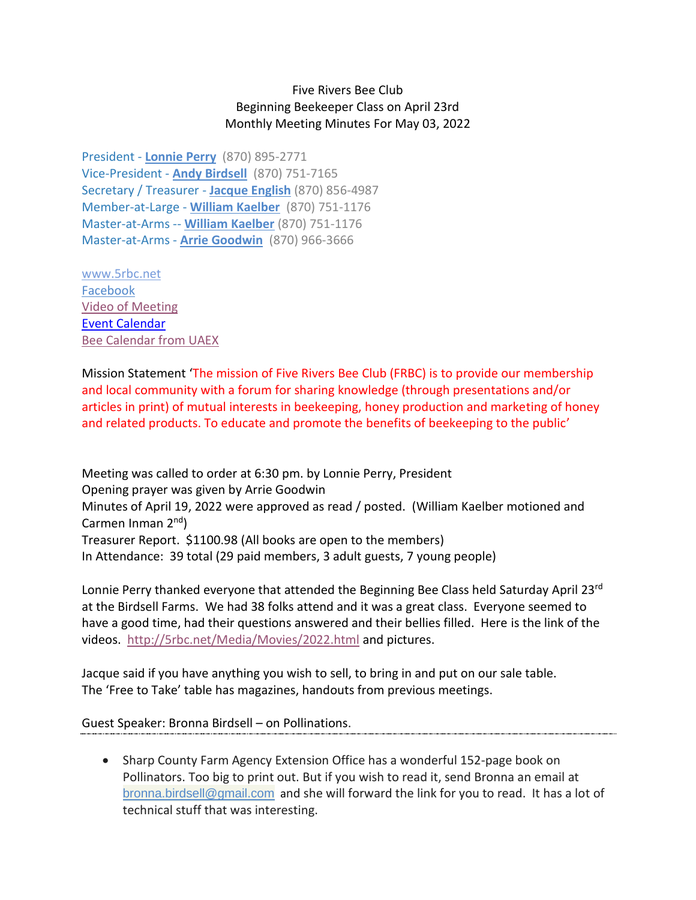## Five Rivers Bee Club Beginning Beekeeper Class on April 23rd Monthly Meeting Minutes For May 03, 2022

President - **[Lonnie](mailto:lonnieperry1@aol.com) Perry** (870) 895-2771 Vice-President - **Andy [Birdsell](mailto:birdselladj@yahoo.com)** (870) 751-7165 Secretary / Treasurer - **Jacque [English](mailto:unitsi@rpge.net)** (870) 856-4987 Member-at-Large - **William [Kaelber](mailto:druidjax@gmail.com)** (870) 751-1176 Master-at-Arms -- **[William](mailto:druidjax@gmail.com) Kaelber** (870) 751-1176 Master-at-Arms - **Arrie [Goodwin](mailto:arrei1@centurylink.net)** (870) 966-3666

[www.5rbc.net](http://www.5rbc.net/) [Facebook](https://www.facebook.com/groups/590964444394870/) [Video of Meeting](http://5rbc.net/Media/Movies/2022/20220503.MP4) [Event Calendar](http://5rbc.net/events.html) [Bee Calendar from UAEX](https://www.uaex.uada.edu/farm-ranch/special-programs/beekeeping/calendar.aspx)

Mission Statement 'The mission of Five Rivers Bee Club (FRBC) is to provide our membership and local community with a forum for sharing knowledge (through presentations and/or articles in print) of mutual interests in beekeeping, honey production and marketing of honey and related products. To educate and promote the benefits of beekeeping to the public'

Meeting was called to order at 6:30 pm. by Lonnie Perry, President Opening prayer was given by Arrie Goodwin Minutes of April 19, 2022 were approved as read / posted. (William Kaelber motioned and Carmen Inman 2<sup>nd</sup>) Treasurer Report. \$1100.98 (All books are open to the members) In Attendance: 39 total (29 paid members, 3 adult guests, 7 young people)

Lonnie Perry thanked everyone that attended the Beginning Bee Class held Saturday April 23rd at the Birdsell Farms. We had 38 folks attend and it was a great class. Everyone seemed to have a good time, had their questions answered and their bellies filled. Here is the link of the videos. <http://5rbc.net/Media/Movies/2022.html> and pictures.

Jacque said if you have anything you wish to sell, to bring in and put on our sale table. The 'Free to Take' table has magazines, handouts from previous meetings.

Guest Speaker: Bronna Birdsell – on Pollinations.

• Sharp County Farm Agency Extension Office has a wonderful 152-page book on Pollinators. Too big to print out. But if you wish to read it, send Bronna an email at [bronna.birdsell@gmail.com](mailto:bronna.birdsell@gmail.com) and she will forward the link for you to read. It has a lot of technical stuff that was interesting.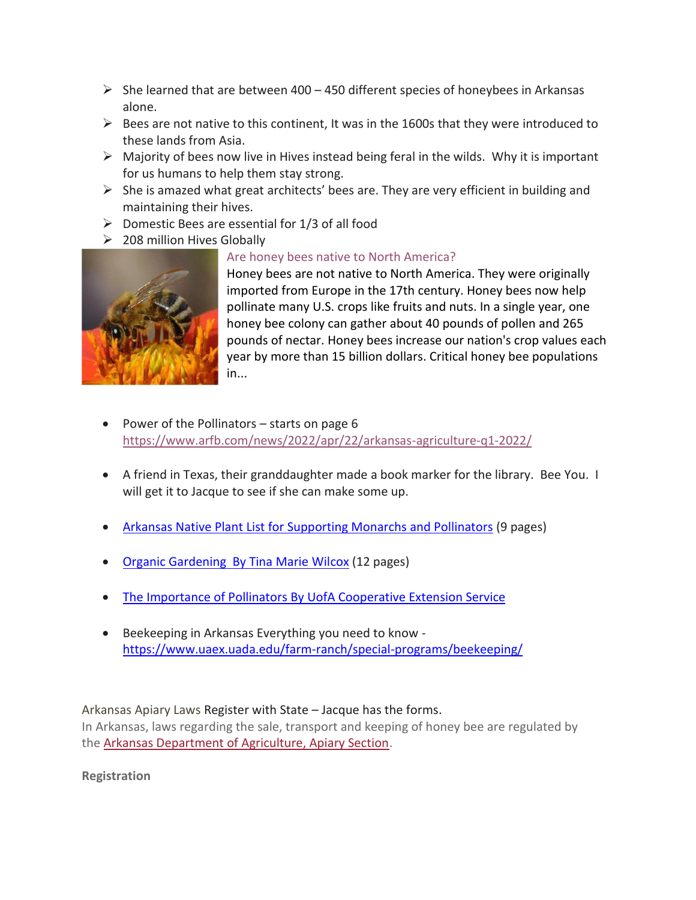- $\triangleright$  She learned that are between 400 450 different species of honeybees in Arkansas alone.
- $\triangleright$  Bees are not native to this continent, It was in the 1600s that they were introduced to these lands from Asia.
- $\triangleright$  Majority of bees now live in Hives instead being feral in the wilds. Why it is important for us humans to help them stay strong.
- $\triangleright$  She is amazed what great architects' bees are. They are very efficient in building and maintaining their hives.
- $\triangleright$  Domestic Bees are essential for 1/3 of all food
- ➢ 208 million Hives Globally



## [Are honey bees native to North America?](https://www.usgs.gov/faqs/are-honey-bees-native-north-america)

Honey bees are not native to North America. They were originally imported from Europe in the 17th century. Honey bees now help pollinate many U.S. crops like fruits and nuts. In a single year, one honey bee colony can gather about 40 pounds of pollen and 265 pounds of nectar. Honey bees increase our nation's crop values each year by more than 15 billion dollars. Critical honey bee populations in...

- Power of the Pollinators starts on page 6 <https://www.arfb.com/news/2022/apr/22/arkansas-agriculture-q1-2022/>
- A friend in Texas, their granddaughter made a book marker for the library. Bee You. I will get it to Jacque to see if she can make some up.
- Arkansas Native Plant List [for Supporting Monarchs and Pollinators](http://5rbc.net/PDF/•%09Arkansas%20Native%20Plant%20List%20for%20Supporting%20Monarchs%20and%20Pollinators%20.PDF) (9 pages)
- [Organic Gardening By Tina Marie Wilcox](http://5rbc.net/PDF/•%09Organic%20Gardening%20%20By%20Tina%20Marie%20Wilcox%20.pdf) (12 pages)
- The Importance [of Pollinators By UofA Cooperative Extension Service](https://www.uaex.uada.edu/farm-ranch/special-programs/beekeeping/pollinators.aspx)
- Beekeeping in Arkansas Everything you need to know <https://www.uaex.uada.edu/farm-ranch/special-programs/beekeeping/>

Arkansas Apiary Laws Register with State – Jacque has the forms.

In Arkansas, laws regarding the sale, transport and keeping of honey bee are regulated by the [Arkansas Department of Agriculture, Apiary Section.](https://www.agriculture.arkansas.gov/plant-industries/regulatory-section/apiary/)

**Registration**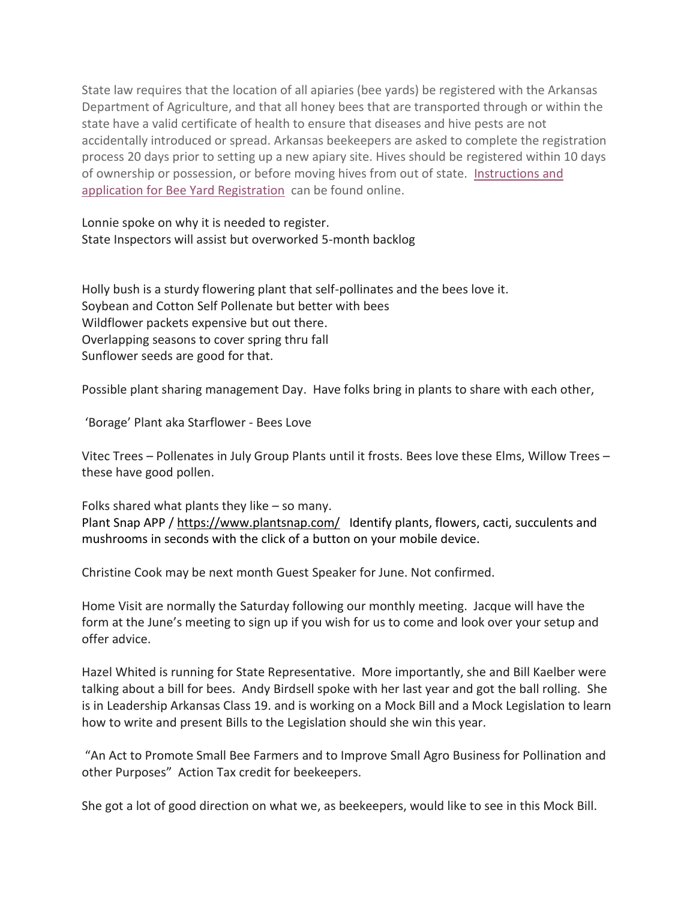State law requires that the location of all apiaries (bee yards) be registered with the Arkansas Department of Agriculture, and that all honey bees that are transported through or within the state have a valid certificate of health to ensure that diseases and hive pests are not accidentally introduced or spread. Arkansas beekeepers are asked to complete the registration process 20 days prior to setting up a new apiary site. Hives should be registered within 10 days of ownership or possession, or before moving hives from out of state. [Instructions and](https://www.agriculture.arkansas.gov/wp-content/uploads/2020/05/2019_Beeyard_Application_2-27-19.pdf)  [application for Bee Yard Registration](https://www.agriculture.arkansas.gov/wp-content/uploads/2020/05/2019_Beeyard_Application_2-27-19.pdf) can be found online.

Lonnie spoke on why it is needed to register. State Inspectors will assist but overworked 5-month backlog

Holly bush is a sturdy flowering plant that self-pollinates and the bees love it. Soybean and Cotton Self Pollenate but better with bees Wildflower packets expensive but out there. Overlapping seasons to cover spring thru fall Sunflower seeds are good for that.

Possible plant sharing management Day. Have folks bring in plants to share with each other,

'Borage' Plant aka Starflower - Bees Love

Vitec Trees – Pollenates in July Group Plants until it frosts. Bees love these Elms, Willow Trees – these have good pollen.

Folks shared what plants they like – so many. Plant Snap APP [/ https://www.plantsnap.com/](https://www.plantsnap.com/) Identify plants, flowers, cacti, succulents and mushrooms in seconds with the click of a button on your mobile device.

Christine Cook may be next month Guest Speaker for June. Not confirmed.

Home Visit are normally the Saturday following our monthly meeting. Jacque will have the form at the June's meeting to sign up if you wish for us to come and look over your setup and offer advice.

Hazel Whited is running for State Representative. More importantly, she and Bill Kaelber were talking about a bill for bees. Andy Birdsell spoke with her last year and got the ball rolling. She is in Leadership Arkansas Class 19. and is working on a Mock Bill and a Mock Legislation to learn how to write and present Bills to the Legislation should she win this year.

"An Act to Promote Small Bee Farmers and to Improve Small Agro Business for Pollination and other Purposes" Action Tax credit for beekeepers.

She got a lot of good direction on what we, as beekeepers, would like to see in this Mock Bill.